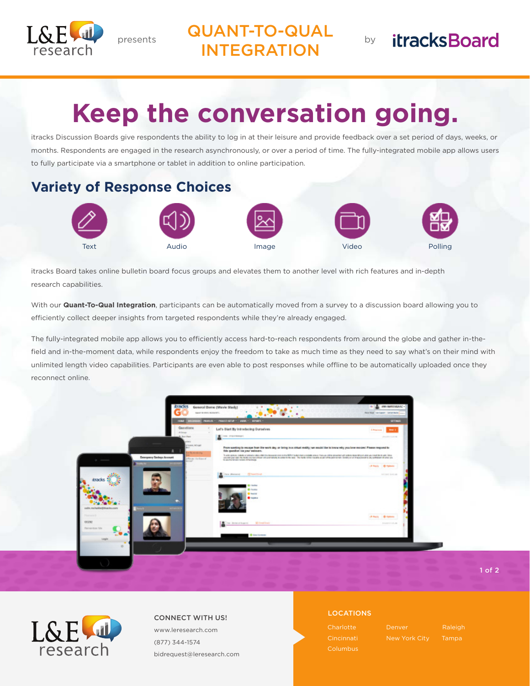

presents **QUANT-TO-QUAL** INTEGRATION

# **itracksBoard**

# **Keep the conversation going.**

itracks Discussion Boards give respondents the ability to log in at their leisure and provide feedback over a set period of days, weeks, or months. Respondents are engaged in the research asynchronously, or over a period of time. The fully-integrated mobile app allows users to fully participate via a smartphone or tablet in addition to online participation.

# **Variety of Response Choices**



itracks Board takes online bulletin board focus groups and elevates them to another level with rich features and in-depth research capabilities.

With our **Quant-To-Qual Integration**, participants can be automatically moved from a survey to a discussion board allowing you to efficiently collect deeper insights from targeted respondents while they're already engaged.

The fully-integrated mobile app allows you to efficiently access hard-to-reach respondents from around the globe and gather in-thefield and in-the-moment data, while respondents enjoy the freedom to take as much time as they need to say what's on their mind with unlimited length video capabilities. Participants are even able to post responses while offline to be automatically uploaded once they reconnect online.



research

LOCATIONS CONNECT WITH US! www.leresearch.com (877) 344-1574 bidrequest@leresearch.com

Cincinnati

Tampa

1 of 2